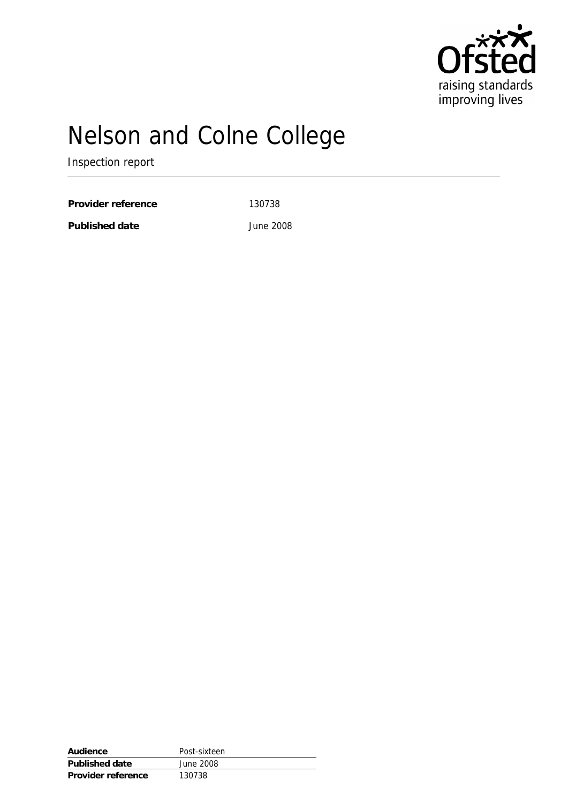

# Nelson and Colne College

Inspection report

Provider reference 130738

**Published date** June 2008

| Audience           | Post-sixteen |
|--------------------|--------------|
| Published date     | June 2008    |
| Provider reference | 130738       |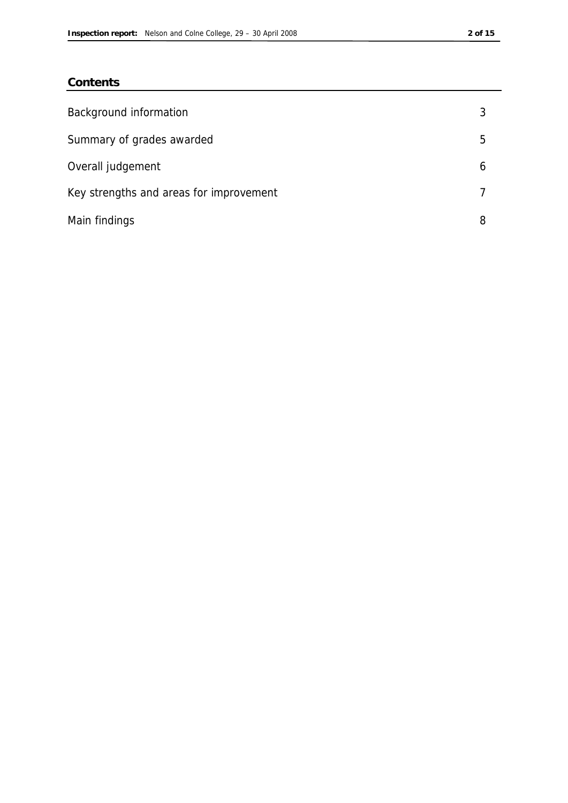## **Contents**

| Background information                  |   |
|-----------------------------------------|---|
| Summary of grades awarded               | 5 |
| Overall judgement                       | 6 |
| Key strengths and areas for improvement |   |
| Main findings                           | 8 |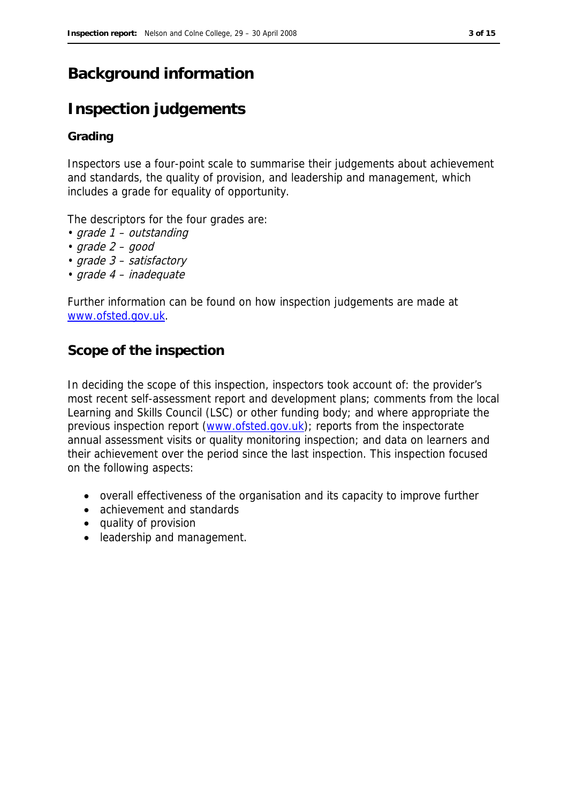## **Background information**

## **Inspection judgements**

## **Grading**

Inspectors use a four-point scale to summarise their judgements about achievement and standards, the quality of provision, and leadership and management, which includes a grade for equality of opportunity.

The descriptors for the four grades are:

- grade 1 outstanding
- grade 2 good
- grade 3 satisfactory
- grade 4 inadequate

Further information can be found on how inspection judgements are made at www.ofsted.gov.uk.

## **Scope of the inspection**

In deciding the scope of this inspection, inspectors took account of: the provider's most recent self-assessment report and development plans; comments from the local Learning and Skills Council (LSC) or other funding body; and where appropriate the previous inspection report (www.ofsted.gov.uk); reports from the inspectorate annual assessment visits or quality monitoring inspection; and data on learners and their achievement over the period since the last inspection. This inspection focused on the following aspects:

- overall effectiveness of the organisation and its capacity to improve further
- achievement and standards
- quality of provision
- leadership and management.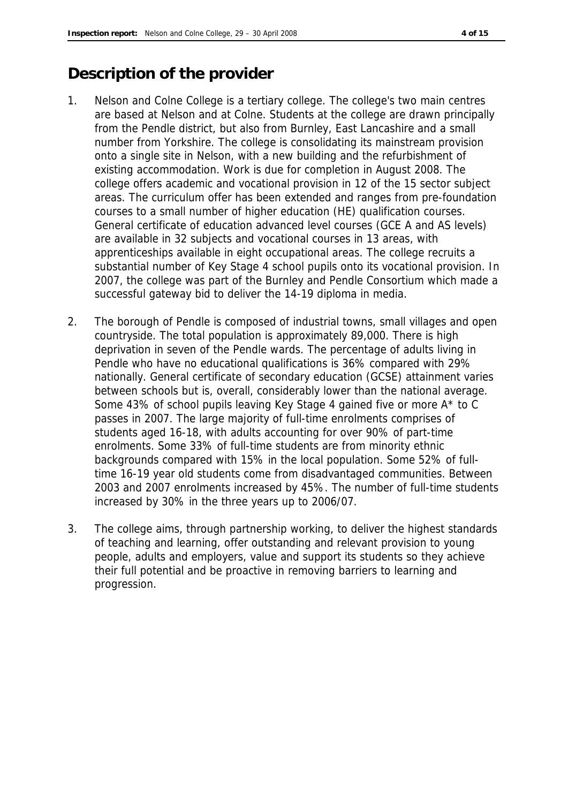## **Description of the provider**

- 1. Nelson and Colne College is a tertiary college. The college's two main centres are based at Nelson and at Colne. Students at the college are drawn principally from the Pendle district, but also from Burnley, East Lancashire and a small number from Yorkshire. The college is consolidating its mainstream provision onto a single site in Nelson, with a new building and the refurbishment of existing accommodation. Work is due for completion in August 2008. The college offers academic and vocational provision in 12 of the 15 sector subject areas. The curriculum offer has been extended and ranges from pre-foundation courses to a small number of higher education (HE) qualification courses. General certificate of education advanced level courses (GCE A and AS levels) are available in 32 subjects and vocational courses in 13 areas, with apprenticeships available in eight occupational areas. The college recruits a substantial number of Key Stage 4 school pupils onto its vocational provision. In 2007, the college was part of the Burnley and Pendle Consortium which made a successful gateway bid to deliver the 14-19 diploma in media.
- 2. The borough of Pendle is composed of industrial towns, small villages and open countryside. The total population is approximately 89,000. There is high deprivation in seven of the Pendle wards. The percentage of adults living in Pendle who have no educational qualifications is 36% compared with 29% nationally. General certificate of secondary education (GCSE) attainment varies between schools but is, overall, considerably lower than the national average. Some 43% of school pupils leaving Key Stage 4 gained five or more A\* to C passes in 2007. The large majority of full-time enrolments comprises of students aged 16-18, with adults accounting for over 90% of part-time enrolments. Some 33% of full-time students are from minority ethnic backgrounds compared with 15% in the local population. Some 52% of fulltime 16-19 year old students come from disadvantaged communities. Between 2003 and 2007 enrolments increased by 45%. The number of full-time students increased by 30% in the three years up to 2006/07.
- 3. The college aims, through partnership working, to deliver the highest standards of teaching and learning, offer outstanding and relevant provision to young people, adults and employers, value and support its students so they achieve their full potential and be proactive in removing barriers to learning and progression.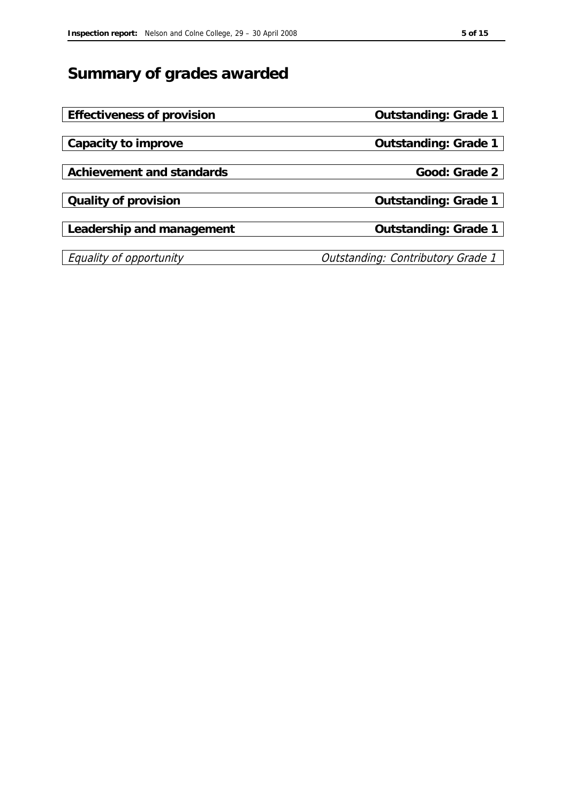## **Summary of grades awarded**

| Outstanding: Grade 1                     |
|------------------------------------------|
|                                          |
| Outstanding: Grade 1                     |
|                                          |
| Good: Grade 2                            |
|                                          |
| Outstanding: Grade 1                     |
|                                          |
| Outstanding: Grade 1                     |
|                                          |
| <b>Outstanding: Contributory Grade 1</b> |
|                                          |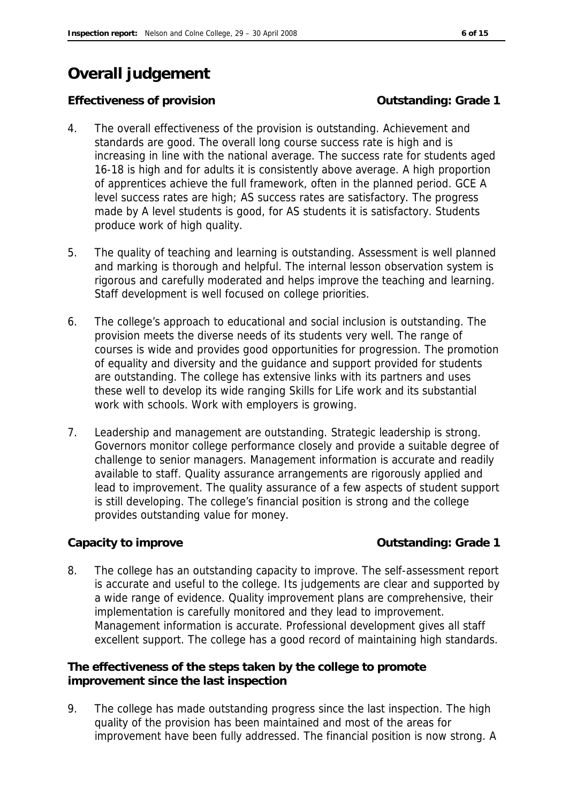## **Overall judgement**

## **Effectiveness of provision** *COUTS* **COUTS COUTS COUTS COUTS COUTS COUTS COUTS COUTS COUTS COUTS COUTS COUTS COUTS COUTS COUTS COUTS COUTS COUTS COUTS COUTS COUTS COUTS COUTS**

- 4. The overall effectiveness of the provision is outstanding. Achievement and standards are good. The overall long course success rate is high and is increasing in line with the national average. The success rate for students aged 16-18 is high and for adults it is consistently above average. A high proportion of apprentices achieve the full framework, often in the planned period. GCE A level success rates are high; AS success rates are satisfactory. The progress made by A level students is good, for AS students it is satisfactory. Students produce work of high quality.
- 5. The quality of teaching and learning is outstanding. Assessment is well planned and marking is thorough and helpful. The internal lesson observation system is rigorous and carefully moderated and helps improve the teaching and learning. Staff development is well focused on college priorities.
- 6. The college's approach to educational and social inclusion is outstanding. The provision meets the diverse needs of its students very well. The range of courses is wide and provides good opportunities for progression. The promotion of equality and diversity and the guidance and support provided for students are outstanding. The college has extensive links with its partners and uses these well to develop its wide ranging Skills for Life work and its substantial work with schools. Work with employers is growing.
- 7. Leadership and management are outstanding. Strategic leadership is strong. Governors monitor college performance closely and provide a suitable degree of challenge to senior managers. Management information is accurate and readily available to staff. Quality assurance arrangements are rigorously applied and lead to improvement. The quality assurance of a few aspects of student support is still developing. The college's financial position is strong and the college provides outstanding value for money.

**Capacity to improve Capacity to improve Capacity to improve Capacity to improve Capacity Capacity C** 

8. The college has an outstanding capacity to improve. The self-assessment report is accurate and useful to the college. Its judgements are clear and supported by a wide range of evidence. Quality improvement plans are comprehensive, their implementation is carefully monitored and they lead to improvement. Management information is accurate. Professional development gives all staff excellent support. The college has a good record of maintaining high standards.

**The effectiveness of the steps taken by the college to promote improvement since the last inspection**

9. The college has made outstanding progress since the last inspection. The high quality of the provision has been maintained and most of the areas for improvement have been fully addressed. The financial position is now strong. A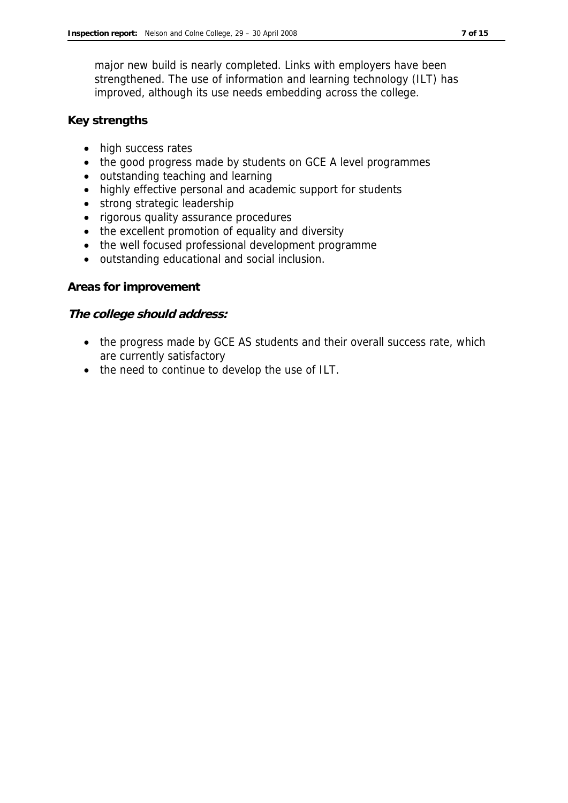major new build is nearly completed. Links with employers have been strengthened. The use of information and learning technology (ILT) has improved, although its use needs embedding across the college.

### **Key strengths**

- high success rates
- the good progress made by students on GCE A level programmes
- outstanding teaching and learning
- highly effective personal and academic support for students
- strong strategic leadership
- rigorous quality assurance procedures
- the excellent promotion of equality and diversity
- the well focused professional development programme
- outstanding educational and social inclusion.

### **Areas for improvement**

### **The college should address:**

- the progress made by GCE AS students and their overall success rate, which are currently satisfactory
- the need to continue to develop the use of ILT.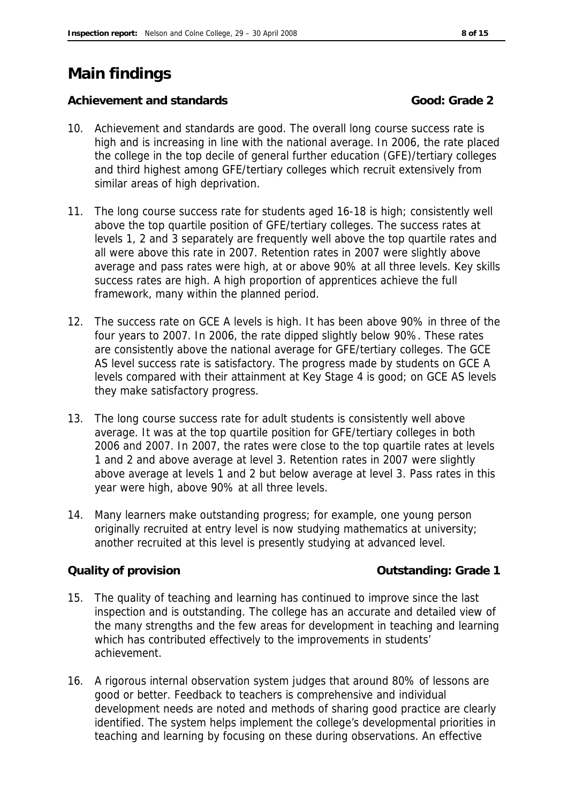## **Main findings**

Achievement and standards **Cooking and Standards Good: Grade 2** 

- 10. Achievement and standards are good. The overall long course success rate is high and is increasing in line with the national average. In 2006, the rate placed the college in the top decile of general further education (GFE)/tertiary colleges and third highest among GFE/tertiary colleges which recruit extensively from similar areas of high deprivation.
- 11. The long course success rate for students aged 16-18 is high; consistently well above the top quartile position of GFE/tertiary colleges. The success rates at levels 1, 2 and 3 separately are frequently well above the top quartile rates and all were above this rate in 2007. Retention rates in 2007 were slightly above average and pass rates were high, at or above 90% at all three levels. Key skills success rates are high. A high proportion of apprentices achieve the full framework, many within the planned period.
- 12. The success rate on GCE A levels is high. It has been above 90% in three of the four years to 2007. In 2006, the rate dipped slightly below 90%. These rates are consistently above the national average for GFE/tertiary colleges. The GCE AS level success rate is satisfactory. The progress made by students on GCE A levels compared with their attainment at Key Stage 4 is good; on GCE AS levels they make satisfactory progress.
- 13. The long course success rate for adult students is consistently well above average. It was at the top quartile position for GFE/tertiary colleges in both 2006 and 2007. In 2007, the rates were close to the top quartile rates at levels 1 and 2 and above average at level 3. Retention rates in 2007 were slightly above average at levels 1 and 2 but below average at level 3. Pass rates in this year were high, above 90% at all three levels.
- 14. Many learners make outstanding progress; for example, one young person originally recruited at entry level is now studying mathematics at university; another recruited at this level is presently studying at advanced level.

**Quality of provision Outstanding: Grade 1**

- 15. The quality of teaching and learning has continued to improve since the last inspection and is outstanding. The college has an accurate and detailed view of the many strengths and the few areas for development in teaching and learning which has contributed effectively to the improvements in students' achievement.
- 16. A rigorous internal observation system judges that around 80% of lessons are good or better. Feedback to teachers is comprehensive and individual development needs are noted and methods of sharing good practice are clearly identified. The system helps implement the college's developmental priorities in teaching and learning by focusing on these during observations. An effective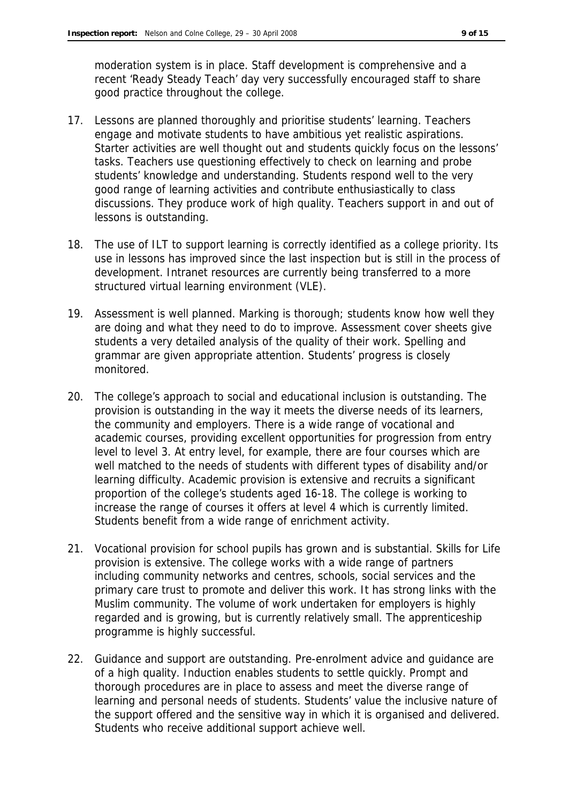moderation system is in place. Staff development is comprehensive and a recent 'Ready Steady Teach' day very successfully encouraged staff to share good practice throughout the college.

- 17. Lessons are planned thoroughly and prioritise students' learning. Teachers engage and motivate students to have ambitious yet realistic aspirations. Starter activities are well thought out and students quickly focus on the lessons' tasks. Teachers use questioning effectively to check on learning and probe students' knowledge and understanding. Students respond well to the very good range of learning activities and contribute enthusiastically to class discussions. They produce work of high quality. Teachers support in and out of lessons is outstanding.
- 18. The use of ILT to support learning is correctly identified as a college priority. Its use in lessons has improved since the last inspection but is still in the process of development. Intranet resources are currently being transferred to a more structured virtual learning environment (VLE).
- 19. Assessment is well planned. Marking is thorough; students know how well they are doing and what they need to do to improve. Assessment cover sheets give students a very detailed analysis of the quality of their work. Spelling and grammar are given appropriate attention. Students' progress is closely monitored.
- 20. The college's approach to social and educational inclusion is outstanding. The provision is outstanding in the way it meets the diverse needs of its learners, the community and employers. There is a wide range of vocational and academic courses, providing excellent opportunities for progression from entry level to level 3. At entry level, for example, there are four courses which are well matched to the needs of students with different types of disability and/or learning difficulty. Academic provision is extensive and recruits a significant proportion of the college's students aged 16-18. The college is working to increase the range of courses it offers at level 4 which is currently limited. Students benefit from a wide range of enrichment activity.
- 21. Vocational provision for school pupils has grown and is substantial. Skills for Life provision is extensive. The college works with a wide range of partners including community networks and centres, schools, social services and the primary care trust to promote and deliver this work. It has strong links with the Muslim community. The volume of work undertaken for employers is highly regarded and is growing, but is currently relatively small. The apprenticeship programme is highly successful.
- 22. Guidance and support are outstanding. Pre-enrolment advice and guidance are of a high quality. Induction enables students to settle quickly. Prompt and thorough procedures are in place to assess and meet the diverse range of learning and personal needs of students. Students' value the inclusive nature of the support offered and the sensitive way in which it is organised and delivered. Students who receive additional support achieve well.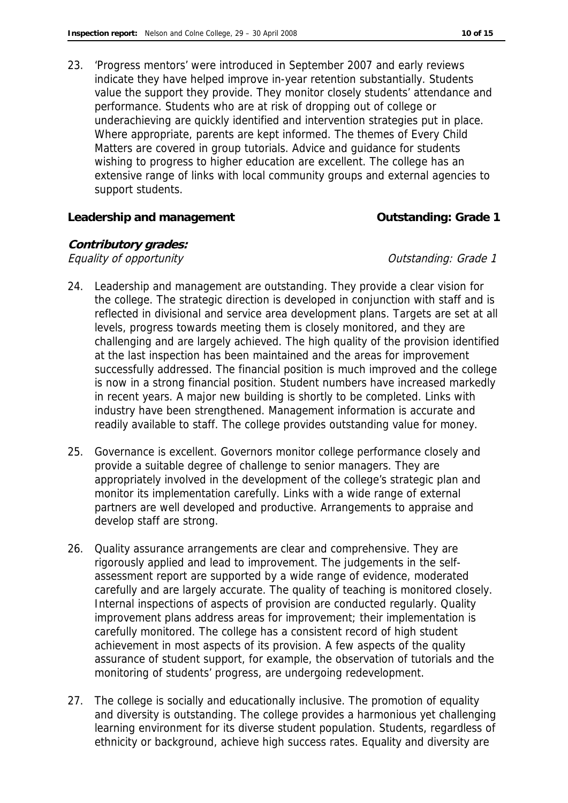23. 'Progress mentors' were introduced in September 2007 and early reviews indicate they have helped improve in-year retention substantially. Students value the support they provide. They monitor closely students' attendance and performance. Students who are at risk of dropping out of college or underachieving are quickly identified and intervention strategies put in place. Where appropriate, parents are kept informed. The themes of Every Child Matters are covered in group tutorials. Advice and guidance for students wishing to progress to higher education are excellent. The college has an extensive range of links with local community groups and external agencies to support students.

**Leadership and management Outstanding: Grade 1**

**Contributory grades:** Equality of opportunity  $\blacksquare$ 

- 24. Leadership and management are outstanding. They provide a clear vision for the college. The strategic direction is developed in conjunction with staff and is reflected in divisional and service area development plans. Targets are set at all levels, progress towards meeting them is closely monitored, and they are challenging and are largely achieved. The high quality of the provision identified at the last inspection has been maintained and the areas for improvement successfully addressed. The financial position is much improved and the college is now in a strong financial position. Student numbers have increased markedly in recent years. A major new building is shortly to be completed. Links with industry have been strengthened. Management information is accurate and readily available to staff. The college provides outstanding value for money.
- 25. Governance is excellent. Governors monitor college performance closely and provide a suitable degree of challenge to senior managers. They are appropriately involved in the development of the college's strategic plan and monitor its implementation carefully. Links with a wide range of external partners are well developed and productive. Arrangements to appraise and develop staff are strong.
- 26. Quality assurance arrangements are clear and comprehensive. They are rigorously applied and lead to improvement. The judgements in the selfassessment report are supported by a wide range of evidence, moderated carefully and are largely accurate. The quality of teaching is monitored closely. Internal inspections of aspects of provision are conducted regularly. Quality improvement plans address areas for improvement; their implementation is carefully monitored. The college has a consistent record of high student achievement in most aspects of its provision. A few aspects of the quality assurance of student support, for example, the observation of tutorials and the monitoring of students' progress, are undergoing redevelopment.
- 27. The college is socially and educationally inclusive. The promotion of equality and diversity is outstanding. The college provides a harmonious yet challenging learning environment for its diverse student population. Students, regardless of ethnicity or background, achieve high success rates. Equality and diversity are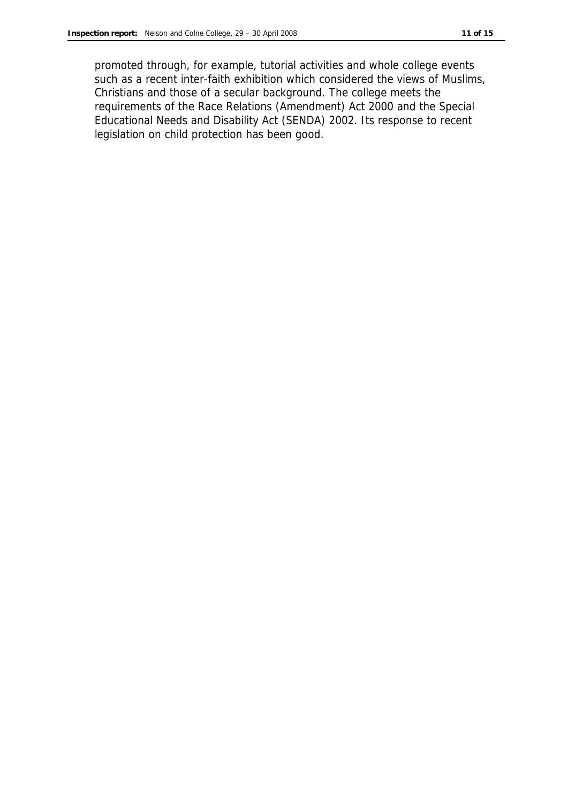promoted through, for example, tutorial activities and whole college events such as a recent inter-faith exhibition which considered the views of Muslims, Christians and those of a secular background. The college meets the requirements of the Race Relations (Amendment) Act 2000 and the Special Educational Needs and Disability Act (SENDA) 2002. Its response to recent legislation on child protection has been good.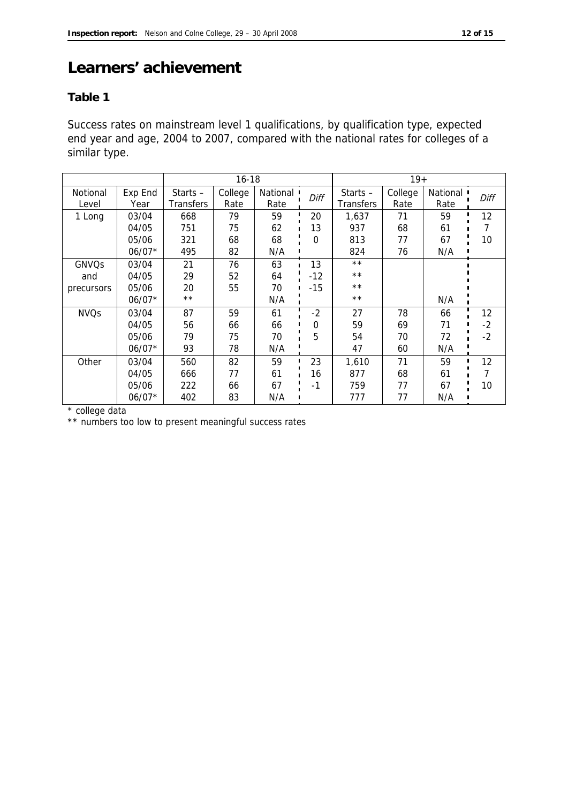## **Learners' achievement**

## **Table 1**

Success rates on mainstream level 1 qualifications, by qualification type, expected end year and age, 2004 to 2007, compared with the national rates for colleges of a similar type.

|              |          | $16 - 18$        |         |                         | $19+$    |                  |         |            |      |
|--------------|----------|------------------|---------|-------------------------|----------|------------------|---------|------------|------|
| Notional     | Exp End  | Starts $-$       | College | National $\blacksquare$ | Diff     | Starts $-$       | College | National I | Diff |
| Level        | Year     | <b>Transfers</b> | Rate    | Rate                    |          | <b>Transfers</b> | Rate    | Rate       |      |
| 1 Long       | 03/04    | 668              | 79      | 59                      | 20       | 1,637            | 71      | 59         | 12   |
|              | 04/05    | 751              | 75      | 62                      | 13       | 937              | 68      | 61         |      |
|              | 05/06    | 321              | 68      | 68                      | $\Omega$ | 813              | 77      | 67         | 10   |
|              | $06/07*$ | 495              | 82      | N/A                     |          | 824              | 76      | N/A        |      |
| <b>GNVQs</b> | 03/04    | 21               | 76      | 63                      | 13       | $\star\star$     |         |            |      |
| and          | 04/05    | 29               | 52      | 64                      | $-12$    | $\star\star$     |         |            |      |
| precursors   | 05/06    | 20               | 55      | 70                      | $-15$    | $\star\star$     |         |            |      |
|              | $06/07*$ | $\star\star$     |         | N/A                     |          | $* *$            |         | N/A        |      |
| <b>NVQs</b>  | 03/04    | 87               | 59      | 61                      | $-2$     | 27               | 78      | 66         | 12   |
|              | 04/05    | 56               | 66      | 66                      | 0        | 59               | 69      | 71         | $-2$ |
|              | 05/06    | 79               | 75      | 70                      | 5        | 54               | 70      | 72         | $-2$ |
|              | $06/07*$ | 93               | 78      | N/A                     |          | 47               | 60      | N/A        |      |
| Other        | 03/04    | 560              | 82      | 59                      | 23       | 1,610            | 71      | 59         | 12   |
|              | 04/05    | 666              | 77      | 61                      | 16       | 877              | 68      | 61         |      |
|              | 05/06    | 222              | 66      | 67                      | $-1$     | 759              | 77      | 67         | 10   |
|              | $06/07*$ | 402              | 83      | N/A                     |          | 777              | 77      | N/A        |      |

\* college data

\*\* numbers too low to present meaningful success rates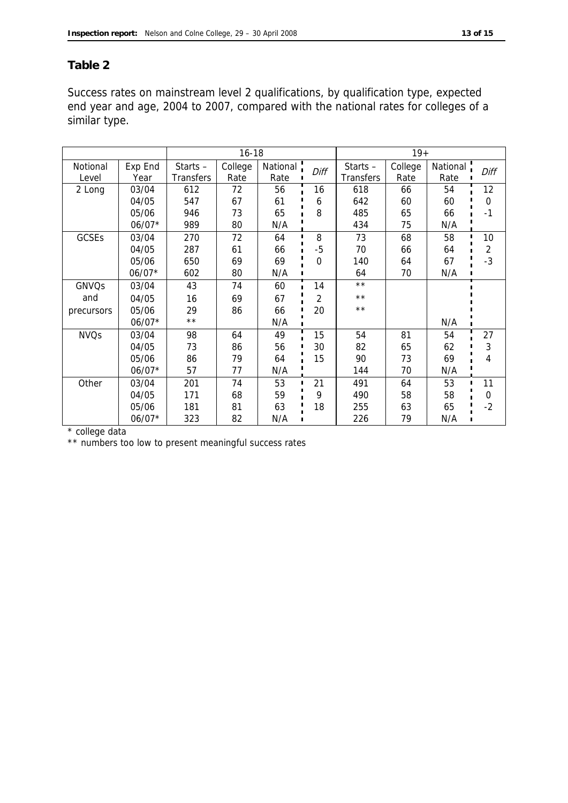### **Table 2**

Success rates on mainstream level 2 qualifications, by qualification type, expected end year and age, 2004 to 2007, compared with the national rates for colleges of a similar type.

|                   |                 |                                | $16 - 18$<br>$19+$ |                  |          |                                |                 |                  |          |
|-------------------|-----------------|--------------------------------|--------------------|------------------|----------|--------------------------------|-----------------|------------------|----------|
| Notional<br>Level | Exp End<br>Year | Starts $-$<br><b>Transfers</b> | College<br>Rate    | National<br>Rate | Diff     | Starts $-$<br><b>Transfers</b> | College<br>Rate | National<br>Rate | Diff     |
| 2 Long            | 03/04           | 612                            | 72                 | 56               | 16       | 618                            | 66              | 54               | 12       |
|                   |                 |                                |                    |                  |          |                                |                 |                  | $\Omega$ |
|                   | 04/05           | 547                            | 67                 | 61               | 6        | 642                            | 60              | 60               |          |
|                   | 05/06           | 946                            | 73                 | 65               | 8        | 485                            | 65              | 66               | $-1$     |
|                   | $06/07*$        | 989                            | 80                 | N/A              |          | 434                            | 75              | N/A              |          |
| <b>GCSEs</b>      | 03/04           | 270                            | 72                 | 64               | 8        | 73                             | 68              | 58               | 10       |
|                   | 04/05           | 287                            | 61                 | 66               | $-5$     | 70                             | 66              | 64               | 2        |
|                   | 05/06           | 650                            | 69                 | 69               | $\Omega$ | 140                            | 64              | 67               | $-3$     |
|                   | $06/07*$        | 602                            | 80                 | N/A              |          | 64                             | 70              | N/A              |          |
| GNVQs             | 03/04           | 43                             | 74                 | 60               | 14       | $\star \star$                  |                 |                  |          |
| and               | 04/05           | 16                             | 69                 | 67               | 2        | $\star\star$                   |                 |                  |          |
| precursors        | 05/06           | 29                             | 86                 | 66               | 20       | $**$                           |                 |                  |          |
|                   | $06/07*$        | $\star\star$                   |                    | N/A              |          |                                |                 | N/A              |          |
| <b>NVQs</b>       | 03/04           | 98                             | 64                 | 49               | 15       | 54                             | 81              | 54               | 27       |
|                   | 04/05           | 73                             | 86                 | 56               | 30       | 82                             | 65              | 62               | 3        |
|                   | 05/06           | 86                             | 79                 | 64               | 15       | 90                             | 73              | 69               | 4        |
|                   | $06/07*$        | 57                             | 77                 | N/A              |          | 144                            | 70              | N/A              |          |
| Other             | 03/04           | 201                            | 74                 | 53               | 21       | 491                            | 64              | 53               | 11       |
|                   | 04/05           | 171                            | 68                 | 59               | 9        | 490                            | 58              | 58               | 0        |
|                   | 05/06           | 181                            | 81                 | 63               | 18       | 255                            | 63              | 65               | $-2$     |
|                   | $06/07*$        | 323                            | 82                 | N/A              |          | 226                            | 79              | N/A              |          |

\* college data

\*\* numbers too low to present meaningful success rates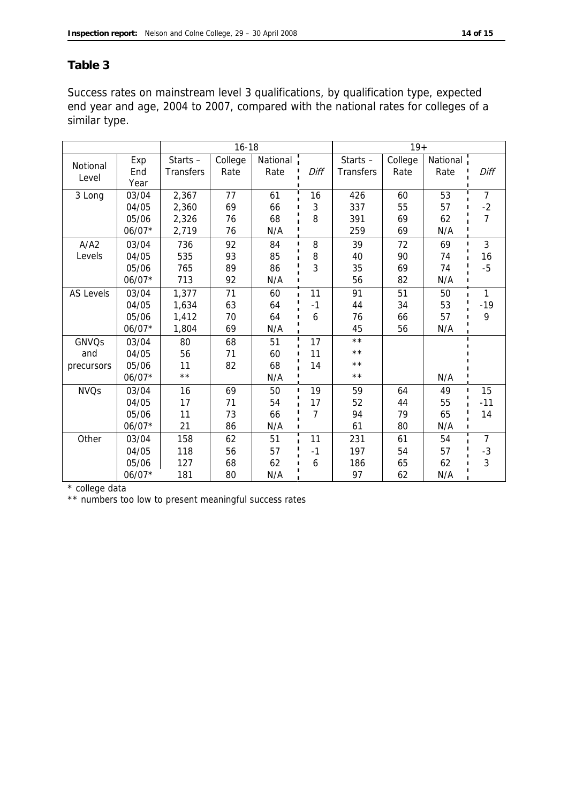### **Table 3**

Success rates on mainstream level 3 qualifications, by qualification type, expected end year and age, 2004 to 2007, compared with the national rates for colleges of a similar type.

|                   |                    |                         | $16 - 18$       |                  |      |                                | $19+$           |                  |                                |
|-------------------|--------------------|-------------------------|-----------------|------------------|------|--------------------------------|-----------------|------------------|--------------------------------|
| Notional<br>Level | Exp<br>End<br>Year | Starts $-$<br>Transfers | College<br>Rate | National<br>Rate | Diff | Starts $-$<br><b>Transfers</b> | College<br>Rate | National<br>Rate | Diff                           |
| 3 Long            | 03/04              | 2,367                   | 77              | 61               | 16   | 426                            | 60              | 53               | $\overline{7}$                 |
|                   | 04/05              | 2,360                   | 69              | 66               | 3    | 337                            | 55              | 57               | $-2$                           |
|                   | 05/06              | 2,326                   | 76              | 68               | 8    | 391                            | 69              | 62               | 7                              |
|                   | $06/07*$           | 2,719                   | 76              | N/A              |      | 259                            | 69              | N/A              |                                |
| A/A2              | 03/04              | 736                     | 92              | 84               | 8    | 39                             | 72              | 69               | $\mathfrak{Z}$<br>$\mathbf{I}$ |
| Levels            | 04/05              | 535                     | 93              | 85               | 8    | 40                             | 90              | 74               | 16                             |
|                   | 05/06              | 765                     | 89              | 86               | 3    | 35                             | 69              | 74               | $-5$                           |
|                   | $06/07*$           | 713                     | 92              | N/A              |      | 56                             | 82              | N/A              |                                |
| <b>AS Levels</b>  | 03/04              | 1,377                   | 71              | 60               | 11   | 91                             | 51              | 50               | 1                              |
|                   | 04/05              | 1,634                   | 63              | 64               | $-1$ | 44                             | 34              | 53               | $-19$                          |
|                   | 05/06              | 1,412                   | 70              | 64               | 6    | 76                             | 66              | 57               | 9                              |
|                   | 06/07*             | 1,804                   | 69              | N/A              |      | 45                             | 56              | N/A              |                                |
| <b>GNVQs</b>      | 03/04              | 80                      | 68              | 51               | 17   | $\star\star$                   |                 |                  |                                |
| and               | 04/05              | 56                      | 71              | 60               | 11   | $\star\star$                   |                 |                  |                                |
| precursors        | 05/06              | 11                      | 82              | 68               | 14   | $\star\star$                   |                 |                  |                                |
|                   | $06/07*$           | $\star\star$            |                 | N/A              |      | $\star\star$                   |                 | N/A              |                                |
| <b>NVQs</b>       | 03/04              | 16                      | 69              | 50               | 19   | 59                             | 64              | 49               | 15<br>$\blacksquare$           |
|                   | 04/05              | 17                      | 71              | 54               | 17   | 52                             | 44              | 55               | $-11$                          |
|                   | 05/06              | 11                      | 73              | 66               | 7    | 94                             | 79              | 65               | 14                             |
|                   | $06/07*$           | 21                      | 86              | N/A              |      | 61                             | 80              | N/A              |                                |
| Other             | 03/04              | 158                     | 62              | 51               | 11   | 231                            | 61              | 54               | $\overline{7}$                 |
|                   | 04/05              | 118                     | 56              | 57               | $-1$ | 197                            | 54              | 57               | $-3$                           |
|                   | 05/06              | 127                     | 68              | 62               | 6    | 186                            | 65              | 62               | 3                              |
|                   | 06/07*             | 181                     | 80              | N/A              |      | 97                             | 62              | N/A              |                                |

\* college data

\*\* numbers too low to present meaningful success rates